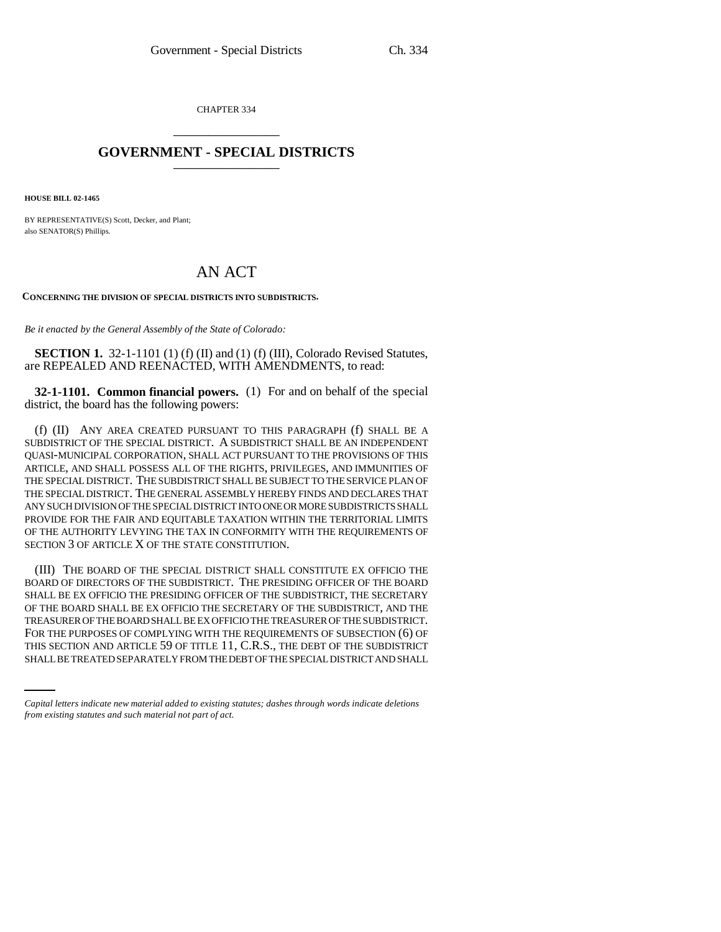CHAPTER 334 \_\_\_\_\_\_\_\_\_\_\_\_\_\_\_

## **GOVERNMENT - SPECIAL DISTRICTS** \_\_\_\_\_\_\_\_\_\_\_\_\_\_\_

**HOUSE BILL 02-1465**

BY REPRESENTATIVE(S) Scott, Decker, and Plant; also SENATOR(S) Phillips.

## AN ACT

**CONCERNING THE DIVISION OF SPECIAL DISTRICTS INTO SUBDISTRICTS.**

*Be it enacted by the General Assembly of the State of Colorado:*

**SECTION 1.** 32-1-1101 (1) (f) (II) and (1) (f) (III), Colorado Revised Statutes, are REPEALED AND REENACTED, WITH AMENDMENTS, to read:

**32-1-1101. Common financial powers.** (1) For and on behalf of the special district, the board has the following powers:

(f) (II) ANY AREA CREATED PURSUANT TO THIS PARAGRAPH (f) SHALL BE A SUBDISTRICT OF THE SPECIAL DISTRICT. A SUBDISTRICT SHALL BE AN INDEPENDENT QUASI-MUNICIPAL CORPORATION, SHALL ACT PURSUANT TO THE PROVISIONS OF THIS ARTICLE, AND SHALL POSSESS ALL OF THE RIGHTS, PRIVILEGES, AND IMMUNITIES OF THE SPECIAL DISTRICT. THE SUBDISTRICT SHALL BE SUBJECT TO THE SERVICE PLAN OF THE SPECIAL DISTRICT. THE GENERAL ASSEMBLY HEREBY FINDS AND DECLARES THAT ANY SUCH DIVISION OF THE SPECIAL DISTRICT INTO ONE OR MORE SUBDISTRICTS SHALL PROVIDE FOR THE FAIR AND EQUITABLE TAXATION WITHIN THE TERRITORIAL LIMITS OF THE AUTHORITY LEVYING THE TAX IN CONFORMITY WITH THE REQUIREMENTS OF SECTION 3 OF ARTICLE X OF THE STATE CONSTITUTION.

FOR THE PURPOSES OF COMPLYING WITH THE REQUIREMENTS OF SUBSECTION (6) OF (III) THE BOARD OF THE SPECIAL DISTRICT SHALL CONSTITUTE EX OFFICIO THE BOARD OF DIRECTORS OF THE SUBDISTRICT. THE PRESIDING OFFICER OF THE BOARD SHALL BE EX OFFICIO THE PRESIDING OFFICER OF THE SUBDISTRICT, THE SECRETARY OF THE BOARD SHALL BE EX OFFICIO THE SECRETARY OF THE SUBDISTRICT, AND THE TREASURER OF THE BOARD SHALL BE EX OFFICIO THE TREASURER OF THE SUBDISTRICT. THIS SECTION AND ARTICLE 59 OF TITLE 11, C.R.S., THE DEBT OF THE SUBDISTRICT SHALL BE TREATED SEPARATELY FROM THE DEBT OF THE SPECIAL DISTRICT AND SHALL

*Capital letters indicate new material added to existing statutes; dashes through words indicate deletions from existing statutes and such material not part of act.*